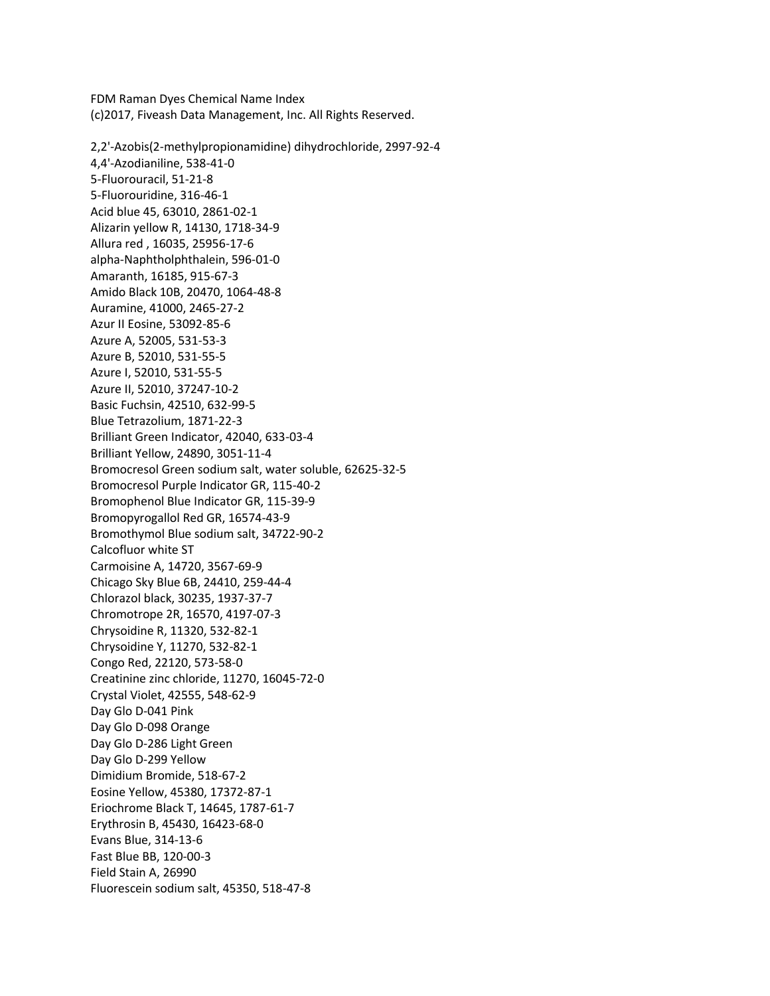FDM Raman Dyes Chemical Name Index (c)2017, Fiveash Data Management, Inc. All Rights Reserved.

2,2'-Azobis(2-methylpropionamidine) dihydrochloride, 2997-92-4 4,4'-Azodianiline, 538-41-0 5-Fluorouracil, 51-21-8 5-Fluorouridine, 316-46-1 Acid blue 45, 63010, 2861-02-1 Alizarin yellow R, 14130, 1718-34-9 Allura red , 16035, 25956-17-6 alpha-Naphtholphthalein, 596-01-0 Amaranth, 16185, 915-67-3 Amido Black 10B, 20470, 1064-48-8 Auramine, 41000, 2465-27-2 Azur II Eosine, 53092-85-6 Azure A, 52005, 531-53-3 Azure B, 52010, 531-55-5 Azure I, 52010, 531-55-5 Azure II, 52010, 37247-10-2 Basic Fuchsin, 42510, 632-99-5 Blue Tetrazolium, 1871-22-3 Brilliant Green Indicator, 42040, 633-03-4 Brilliant Yellow, 24890, 3051-11-4 Bromocresol Green sodium salt, water soluble, 62625-32-5 Bromocresol Purple Indicator GR, 115-40-2 Bromophenol Blue Indicator GR, 115-39-9 Bromopyrogallol Red GR, 16574-43-9 Bromothymol Blue sodium salt, 34722-90-2 Calcofluor white ST Carmoisine A, 14720, 3567-69-9 Chicago Sky Blue 6B, 24410, 259-44-4 Chlorazol black, 30235, 1937-37-7 Chromotrope 2R, 16570, 4197-07-3 Chrysoidine R, 11320, 532-82-1 Chrysoidine Y, 11270, 532-82-1 Congo Red, 22120, 573-58-0 Creatinine zinc chloride, 11270, 16045-72-0 Crystal Violet, 42555, 548-62-9 Day Glo D-041 Pink Day Glo D-098 Orange Day Glo D-286 Light Green Day Glo D-299 Yellow Dimidium Bromide, 518-67-2 Eosine Yellow, 45380, 17372-87-1 Eriochrome Black T, 14645, 1787-61-7 Erythrosin B, 45430, 16423-68-0 Evans Blue, 314-13-6 Fast Blue BB, 120-00-3 Field Stain A, 26990 Fluorescein sodium salt, 45350, 518-47-8